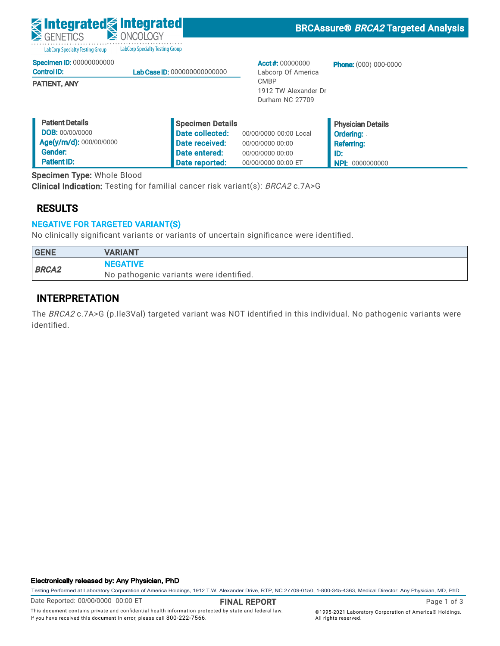| <b>g integrated g integrated</b><br>GENETICS                                | <b>E ONCOLOGY</b>                                     |                                                        | <b>BRCAssure® BRCA2 Targeted Analysis</b>                         |
|-----------------------------------------------------------------------------|-------------------------------------------------------|--------------------------------------------------------|-------------------------------------------------------------------|
| <b>LabCorp Specialty Testing Group</b>                                      | <b>LabCorp Specialty Testing Group</b>                |                                                        |                                                                   |
| <b>Specimen ID: 00000000000</b><br><b>Control ID:</b>                       | Lab Case ID: 000000000000000                          | Acct#: $00000000$<br>Labcorp Of America                | <b>Phone:</b> (000) 000-0000                                      |
| <b>PATIENT, ANY</b>                                                         |                                                       | <b>CMBP</b><br>1912 TW Alexander Dr<br>Durham NC 27709 |                                                                   |
| <b>Patient Details</b><br><b>DOB: 00/00/0000</b><br>Age(y/m/d): 000/00/0000 | Specimen Details<br>Date collected:<br>Date received: | 00/00/0000 00:00 Local<br>00/00/0000 00:00             | <b>Physician Details</b><br><b>Ordering:</b><br><b>Referring:</b> |

00/00/0000 00:00 00/00/0000 00:00 ET ID:

**NPI: 0000000000** 

Specimen Type: Whole Blood

Clinical Indication: Testing for familial cancer risk variant(s): BRCA2 c.7A>G

### RESULTS

 Gender: Patient ID:

### NEGATIVE FOR TARGETED VARIANT(S)

 $\blacksquare$ 

No clinically significant variants or variants of uncertain significance were identified.

 Date entered: Date reported:

| <b>GENE</b>  | <b>VARIANT</b>                          |
|--------------|-----------------------------------------|
| <b>BRCA2</b> | <b>INEGATIVE</b>                        |
|              | No pathogenic variants were identified. |

### INTERPRETATION

The BRCA2 c.7A>G (p.Ile3Val) targeted variant was NOT identified in this individual. No pathogenic variants were identified.

#### Electronically released by: Any Physician, PhD

Testing Performed at Laboratory Corporation of America Holdings, 1912 T.W. Alexander Drive, RTP, NC 27709-0150, 1-800-345-4363, Medical Director: Any Physician, MD, PhD

Page 1 of 3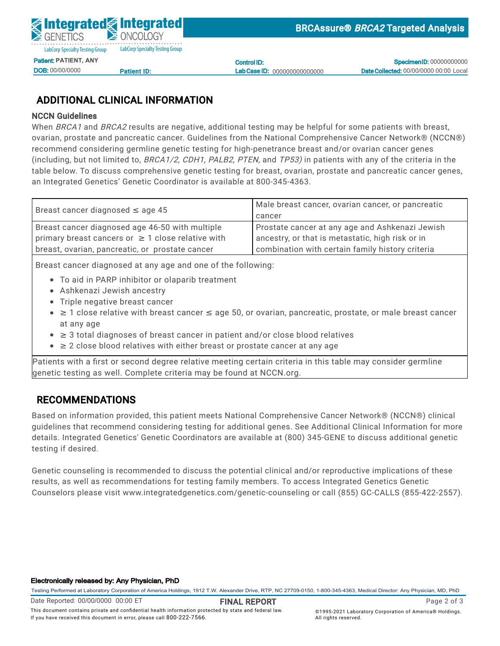Control ID: Lab Case ID: 000000000000000

**Specimen ID: 00000000000** Date Collected: 00/00/0000 00:00 Local

# ADDITIONAL CLINICAL INFORMATION

<u>Patient ID:</u>

#### NCCN Guidelines

DOB: 00/00/0000

When *BRCA1* and *BRCA2* results are negative, additional testing may be helpful for some patients with breast, ovarian, prostate and pancreatic cancer. Guidelines from the National Comprehensive Cancer Network® (NCCN®)  $\frac{1}{2}$ ecommen<br>. (including, but not limited to, *BRCA1/2, CDH1, PALB2, PTEN,* and *TP53)* in patients with any of the criteria in the on caladimed from the right-hair lette testing for ingiliperietrance referre et<br>Fr recommend considering germline genetic testing for high-penetrance breast and/or ovarian cancer genes<br>. Specimen Type: Whole Blood table below. To discuss comprehensive genetic testing for breast, ovarian, prostate and pancreatic cancer genes, an Integrated Genetics' Genetic Coordinator is available at 800-345-4363.

| Breast cancer diagnosed $\leq$ age 45                  | Male breast cancer, ovarian cancer, or pancreatic |  |
|--------------------------------------------------------|---------------------------------------------------|--|
|                                                        | cancer                                            |  |
| Breast cancer diagnosed age 46-50 with multiple        | Prostate cancer at any age and Ashkenazi Jewish   |  |
| primary breast cancers or $\geq$ 1 close relative with | ancestry, or that is metastatic, high risk or in  |  |
| breast, ovarian, pancreatic, or prostate cancer        | combination with certain family history criteria  |  |

Breast cancer diagnosed at any age and one of the following:

- To aid in PARP inhibitor or olaparib treatment
- Ashkenazi Jewish ancestry
- $\bullet$  Triple negative breast cancer
- ≥ 1 close relative with breast cancer  $\leq$  age 50, or ovarian, pancreatic, prostate, or male breast cancer at any age
	- ≥ 3 total diagnoses of breast cancer in patient and/or close blood relatives
	- $\bullet$   $\geq$  2 close blood relatives with either breast or prostate cancer at any age

Patients with a first or second degree relative meeting certain criteria in this table may consider germline genetic testing as well. Complete criteria may be found at NCCN.org.

## RECOMMENDATIONS

Based on information provided, this patient meets National Comprehensive Cancer Network® (NCCN®) clinical guidelines that recommend considering testing for additional genes. See Additional Clinical Information for more details. Integrated Genetics' Genetic Coordinators are available at (800) 345-GENE to discuss additional genetic testing if desired.

Genetic counseling is recommended to discuss the potential clinical and/or reproductive implications of these results, as well as recommendations for testing family members. To access Integrated Genetics Genetic Counselors please visit www.integratedgenetics.com/genetic-counseling or call (855) GC-CALLS (855-422-2557).

#### Electronically released by: Any Physician, PhD

Testing Performed at Laboratory Corporation of America Holdings, 1912 T.W. Alexander Drive, RTP, NC 27709-0150, 1-800-345-4363, Medical Director: Any Physician, MD, PhD